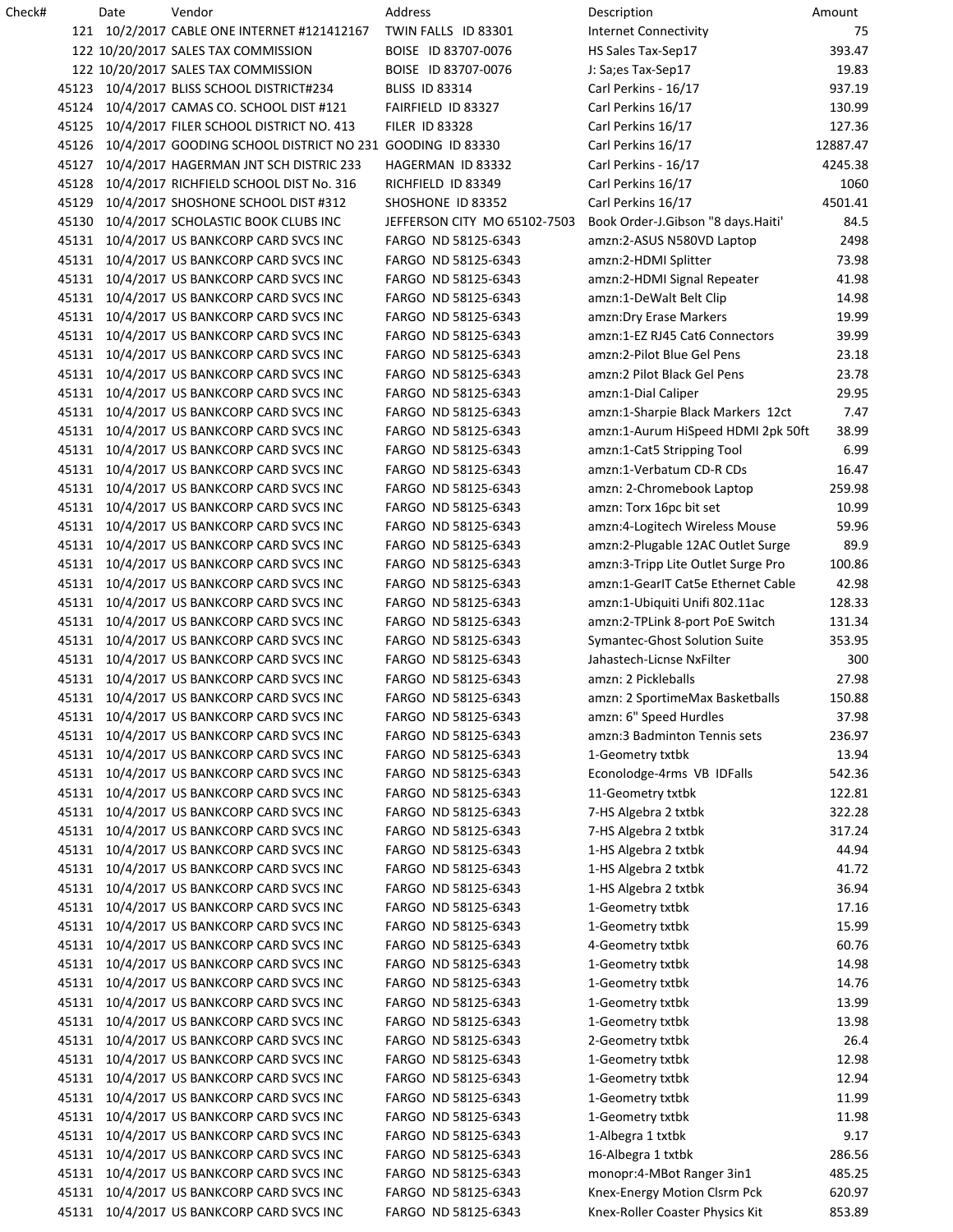| Check# |       | Date | Vendor                                                    | Address                      | Description                        | Amount   |
|--------|-------|------|-----------------------------------------------------------|------------------------------|------------------------------------|----------|
|        |       |      | 121 10/2/2017 CABLE ONE INTERNET #121412167               | TWIN FALLS ID 83301          | <b>Internet Connectivity</b>       | 75       |
|        |       |      | 122 10/20/2017 SALES TAX COMMISSION                       | BOISE ID 83707-0076          | HS Sales Tax-Sep17                 | 393.47   |
|        |       |      | 122 10/20/2017 SALES TAX COMMISSION                       | BOISE ID 83707-0076          | J: Sa;es Tax-Sep17                 | 19.83    |
|        | 45123 |      | 10/4/2017 BLISS SCHOOL DISTRICT#234                       | <b>BLISS ID 83314</b>        | Carl Perkins - 16/17               | 937.19   |
|        | 45124 |      | 10/4/2017 CAMAS CO. SCHOOL DIST #121                      | FAIRFIELD ID 83327           | Carl Perkins 16/17                 | 130.99   |
|        | 45125 |      | 10/4/2017 FILER SCHOOL DISTRICT NO. 413                   | <b>FILER ID 83328</b>        | Carl Perkins 16/17                 | 127.36   |
|        | 45126 |      | 10/4/2017 GOODING SCHOOL DISTRICT NO 231 GOODING ID 83330 |                              | Carl Perkins 16/17                 | 12887.47 |
|        | 45127 |      | 10/4/2017 HAGERMAN JNT SCH DISTRIC 233                    | HAGERMAN ID 83332            | Carl Perkins - 16/17               | 4245.38  |
|        | 45128 |      | 10/4/2017 RICHFIELD SCHOOL DIST No. 316                   | RICHFIELD ID 83349           | Carl Perkins 16/17                 | 1060     |
|        | 45129 |      | 10/4/2017 SHOSHONE SCHOOL DIST #312                       | SHOSHONE ID 83352            | Carl Perkins 16/17                 | 4501.41  |
|        | 45130 |      | 10/4/2017 SCHOLASTIC BOOK CLUBS INC                       | JEFFERSON CITY MO 65102-7503 | Book Order-J.Gibson "8 days.Haiti' | 84.5     |
|        | 45131 |      | 10/4/2017 US BANKCORP CARD SVCS INC                       | FARGO ND 58125-6343          | amzn:2-ASUS N580VD Laptop          | 2498     |
|        |       |      |                                                           |                              |                                    |          |
|        | 45131 |      | 10/4/2017 US BANKCORP CARD SVCS INC                       | FARGO ND 58125-6343          | amzn:2-HDMI Splitter               | 73.98    |
|        | 45131 |      | 10/4/2017 US BANKCORP CARD SVCS INC                       | FARGO ND 58125-6343          | amzn:2-HDMI Signal Repeater        | 41.98    |
|        | 45131 |      | 10/4/2017 US BANKCORP CARD SVCS INC                       | FARGO ND 58125-6343          | amzn:1-DeWalt Belt Clip            | 14.98    |
|        | 45131 |      | 10/4/2017 US BANKCORP CARD SVCS INC                       | FARGO ND 58125-6343          | amzn: Dry Erase Markers            | 19.99    |
|        | 45131 |      | 10/4/2017 US BANKCORP CARD SVCS INC                       | FARGO ND 58125-6343          | amzn:1-EZ RJ45 Cat6 Connectors     | 39.99    |
|        | 45131 |      | 10/4/2017 US BANKCORP CARD SVCS INC                       | FARGO ND 58125-6343          | amzn:2-Pilot Blue Gel Pens         | 23.18    |
|        | 45131 |      | 10/4/2017 US BANKCORP CARD SVCS INC                       | FARGO ND 58125-6343          | amzn:2 Pilot Black Gel Pens        | 23.78    |
|        | 45131 |      | 10/4/2017 US BANKCORP CARD SVCS INC                       | FARGO ND 58125-6343          | amzn:1-Dial Caliper                | 29.95    |
|        | 45131 |      | 10/4/2017 US BANKCORP CARD SVCS INC                       | FARGO ND 58125-6343          | amzn:1-Sharpie Black Markers 12ct  | 7.47     |
|        | 45131 |      | 10/4/2017 US BANKCORP CARD SVCS INC                       | FARGO ND 58125-6343          | amzn:1-Aurum HiSpeed HDMI 2pk 50ft | 38.99    |
|        | 45131 |      | 10/4/2017 US BANKCORP CARD SVCS INC                       | FARGO ND 58125-6343          | amzn:1-Cat5 Stripping Tool         | 6.99     |
|        | 45131 |      | 10/4/2017 US BANKCORP CARD SVCS INC                       | FARGO ND 58125-6343          | amzn:1-Verbatum CD-R CDs           | 16.47    |
|        | 45131 |      | 10/4/2017 US BANKCORP CARD SVCS INC                       | FARGO ND 58125-6343          | amzn: 2-Chromebook Laptop          | 259.98   |
|        | 45131 |      | 10/4/2017 US BANKCORP CARD SVCS INC                       | FARGO ND 58125-6343          | amzn: Torx 16pc bit set            | 10.99    |
|        | 45131 |      | 10/4/2017 US BANKCORP CARD SVCS INC                       | FARGO ND 58125-6343          | amzn:4-Logitech Wireless Mouse     | 59.96    |
|        | 45131 |      | 10/4/2017 US BANKCORP CARD SVCS INC                       | FARGO ND 58125-6343          | amzn:2-Plugable 12AC Outlet Surge  | 89.9     |
|        | 45131 |      | 10/4/2017 US BANKCORP CARD SVCS INC                       | FARGO ND 58125-6343          | amzn:3-Tripp Lite Outlet Surge Pro | 100.86   |
|        | 45131 |      | 10/4/2017 US BANKCORP CARD SVCS INC                       | FARGO ND 58125-6343          | amzn:1-GearIT Cat5e Ethernet Cable | 42.98    |
|        |       |      | 45131 10/4/2017 US BANKCORP CARD SVCS INC                 | FARGO ND 58125-6343          | amzn:1-Ubiquiti Unifi 802.11ac     | 128.33   |
|        |       |      | 45131 10/4/2017 US BANKCORP CARD SVCS INC                 | FARGO ND 58125-6343          | amzn:2-TPLink 8-port PoE Switch    | 131.34   |
|        |       |      | 45131 10/4/2017 US BANKCORP CARD SVCS INC                 | FARGO ND 58125-6343          | Symantec-Ghost Solution Suite      | 353.95   |
|        |       |      | 45131 10/4/2017 US BANKCORP CARD SVCS INC                 |                              |                                    |          |
|        |       |      |                                                           | FARGO ND 58125-6343          | Jahastech-Licnse NxFilter          | 300      |
|        |       |      | 45131 10/4/2017 US BANKCORP CARD SVCS INC                 | FARGO ND 58125-6343          | amzn: 2 Pickleballs                | 27.98    |
|        |       |      | 45131 10/4/2017 US BANKCORP CARD SVCS INC                 | FARGO ND 58125-6343          | amzn: 2 SportimeMax Basketballs    | 150.88   |
|        | 45131 |      | 10/4/2017 US BANKCORP CARD SVCS INC                       | FARGO ND 58125-6343          | amzn: 6" Speed Hurdles             | 37.98    |
|        | 45131 |      | 10/4/2017 US BANKCORP CARD SVCS INC                       | FARGO ND 58125-6343          | amzn:3 Badminton Tennis sets       | 236.97   |
|        | 45131 |      | 10/4/2017 US BANKCORP CARD SVCS INC                       | FARGO ND 58125-6343          | 1-Geometry txtbk                   | 13.94    |
|        | 45131 |      | 10/4/2017 US BANKCORP CARD SVCS INC                       | FARGO ND 58125-6343          | Econolodge-4rms VB IDFalls         | 542.36   |
|        | 45131 |      | 10/4/2017 US BANKCORP CARD SVCS INC                       | FARGO ND 58125-6343          | 11-Geometry txtbk                  | 122.81   |
|        | 45131 |      | 10/4/2017 US BANKCORP CARD SVCS INC                       | FARGO ND 58125-6343          | 7-HS Algebra 2 txtbk               | 322.28   |
|        | 45131 |      | 10/4/2017 US BANKCORP CARD SVCS INC                       | FARGO ND 58125-6343          | 7-HS Algebra 2 txtbk               | 317.24   |
|        | 45131 |      | 10/4/2017 US BANKCORP CARD SVCS INC                       | FARGO ND 58125-6343          | 1-HS Algebra 2 txtbk               | 44.94    |
|        | 45131 |      | 10/4/2017 US BANKCORP CARD SVCS INC                       | FARGO ND 58125-6343          | 1-HS Algebra 2 txtbk               | 41.72    |
|        | 45131 |      | 10/4/2017 US BANKCORP CARD SVCS INC                       | FARGO ND 58125-6343          | 1-HS Algebra 2 txtbk               | 36.94    |
|        | 45131 |      | 10/4/2017 US BANKCORP CARD SVCS INC                       | FARGO ND 58125-6343          | 1-Geometry txtbk                   | 17.16    |
|        | 45131 |      | 10/4/2017 US BANKCORP CARD SVCS INC                       | FARGO ND 58125-6343          | 1-Geometry txtbk                   | 15.99    |
|        | 45131 |      | 10/4/2017 US BANKCORP CARD SVCS INC                       | FARGO ND 58125-6343          | 4-Geometry txtbk                   | 60.76    |
|        | 45131 |      | 10/4/2017 US BANKCORP CARD SVCS INC                       | FARGO ND 58125-6343          | 1-Geometry txtbk                   | 14.98    |
|        | 45131 |      | 10/4/2017 US BANKCORP CARD SVCS INC                       | FARGO ND 58125-6343          | 1-Geometry txtbk                   | 14.76    |
|        | 45131 |      | 10/4/2017 US BANKCORP CARD SVCS INC                       | FARGO ND 58125-6343          | 1-Geometry txtbk                   | 13.99    |
|        | 45131 |      | 10/4/2017 US BANKCORP CARD SVCS INC                       | FARGO ND 58125-6343          | 1-Geometry txtbk                   | 13.98    |
|        | 45131 |      | 10/4/2017 US BANKCORP CARD SVCS INC                       | FARGO ND 58125-6343          | 2-Geometry txtbk                   | 26.4     |
|        | 45131 |      | 10/4/2017 US BANKCORP CARD SVCS INC                       | FARGO ND 58125-6343          | 1-Geometry txtbk                   | 12.98    |
|        |       |      |                                                           |                              |                                    |          |
|        | 45131 |      | 10/4/2017 US BANKCORP CARD SVCS INC                       | FARGO ND 58125-6343          | 1-Geometry txtbk                   | 12.94    |
|        |       |      | 45131 10/4/2017 US BANKCORP CARD SVCS INC                 | FARGO ND 58125-6343          | 1-Geometry txtbk                   | 11.99    |
|        |       |      | 45131 10/4/2017 US BANKCORP CARD SVCS INC                 | FARGO ND 58125-6343          | 1-Geometry txtbk                   | 11.98    |
|        |       |      | 45131 10/4/2017 US BANKCORP CARD SVCS INC                 | FARGO ND 58125-6343          | 1-Albegra 1 txtbk                  | 9.17     |
|        | 45131 |      | 10/4/2017 US BANKCORP CARD SVCS INC                       | FARGO ND 58125-6343          | 16-Albegra 1 txtbk                 | 286.56   |
|        | 45131 |      | 10/4/2017 US BANKCORP CARD SVCS INC                       | FARGO ND 58125-6343          | monopr:4-MBot Ranger 3in1          | 485.25   |
|        | 45131 |      | 10/4/2017 US BANKCORP CARD SVCS INC                       | FARGO ND 58125-6343          | Knex-Energy Motion Clsrm Pck       | 620.97   |
|        |       |      | 45131 10/4/2017 US BANKCORP CARD SVCS INC                 | FARGO ND 58125-6343          | Knex-Roller Coaster Physics Kit    | 853.89   |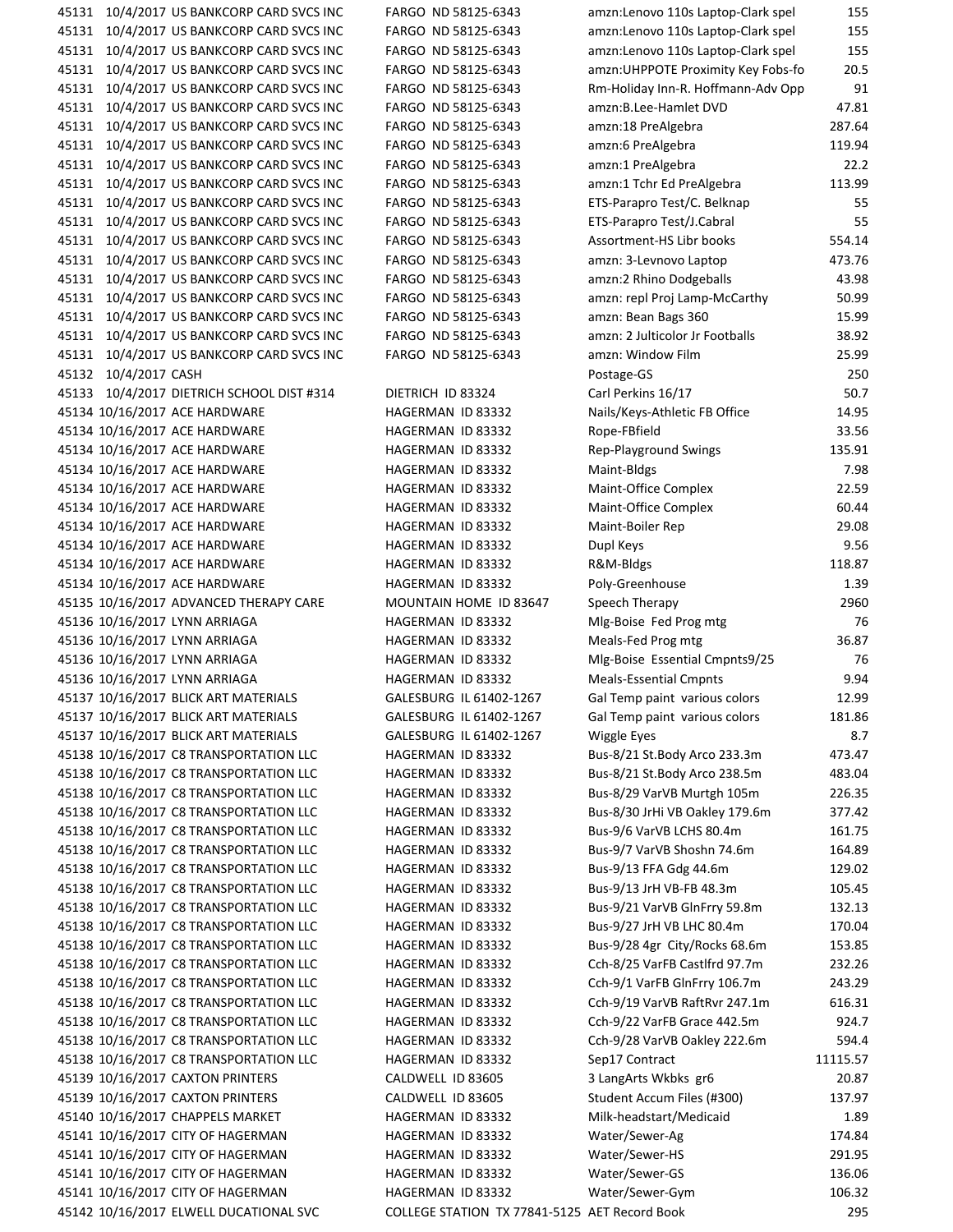45131 10/4/2017 US BANKCORP CARD SVCS INC FARGO ND 58125-6343 45131 10/4/2017 US BANKCORP CARD SVCS INC FARGO ND 58125-6343 45131 10/4/2017 US BANKCORP CARD SVCS INC FARGO ND 58125-6343 45131 10/4/2017 US BANKCORP CARD SVCS INC FARGO ND 58125-6343 45131 10/4/2017 US BANKCORP CARD SVCS INC FARGO ND 58125-6343 45131 10/4/2017 US BANKCORP CARD SVCS INC FARGO ND 58125-6343 45131 10/4/2017 US BANKCORP CARD SVCS INC FARGO ND 58125-6343 45131 10/4/2017 US BANKCORP CARD SVCS INC FARGO ND 58125-6343 45131 10/4/2017 US BANKCORP CARD SVCS INC FARGO ND 58125-6343 45131 10/4/2017 US BANKCORP CARD SVCS INC FARGO ND 58125-6343 45131 10/4/2017 US BANKCORP CARD SVCS INC FARGO ND 58125-6343 45131 10/4/2017 US BANKCORP CARD SVCS INC FARGO ND 58125-6343 45131 10/4/2017 US BANKCORP CARD SVCS INC FARGO ND 58125-6343 45131 10/4/2017 US BANKCORP CARD SVCS INC FARGO ND 58125-6343 45131 10/4/2017 US BANKCORP CARD SVCS INC FARGO ND 58125-6343 45131 10/4/2017 US BANKCORP CARD SVCS INC FARGO ND 58125-6343 45131 10/4/2017 US BANKCORP CARD SVCS INC FARGO ND 58125-6343 45131 10/4/2017 US BANKCORP CARD SVCS INC FARGO ND 58125-6343 45131 10/4/2017 US BANKCORP CARD SVCS INC FARGO ND 58125-6343 45132 10/4/2017 CASH 45133 10/4/2017 DIETRICH SCHOOL DIST #314 DIETRICH ID 83324 45134 10/16/2017 ACE HARDWARE HAGERMAN ID 83332 45134 10/16/2017 ACE HARDWARE HAGERMAN ID 83332 45134 10/16/2017 ACE HARDWARE HAGERMAN ID 83332 45134 10/16/2017 ACE HARDWARE HAGERMAN ID 83332 45134 10/16/2017 ACE HARDWARE HAGERMAN ID 83332 45134 10/16/2017 ACE HARDWARE HAGERMAN ID 83332 45134 10/16/2017 ACE HARDWARE HAGERMAN ID 83332 45134 10/16/2017 ACE HARDWARE HAGERMAN ID 83332 45134 10/16/2017 ACE HARDWARE HAGERMAN ID 83332 45134 10/16/2017 ACE HARDWARE HAGERMAN ID 83332 45135 10/16/2017 ADVANCED THERAPY CARE MOUNTAIN HOME ID 83647 45136 10/16/2017 LYNN ARRIAGA HAGERMAN ID 83332 45136 10/16/2017 LYNN ARRIAGA HAGERMAN ID 83332 45136 10/16/2017 LYNN ARRIAGA HAGERMAN ID 83332 45136 10/16/2017 LYNN ARRIAGA HAGERMAN ID 83332 45137 10/16/2017 BLICK ART MATERIALS GALESBURG IL 61402-1267 45137 10/16/2017 BLICK ART MATERIALS GALESBURG IL 61402-1267 45137 10/16/2017 BLICK ART MATERIALS GALESBURG IL 61402-1267 45138 10/16/2017 C8 TRANSPORTATION LLC HAGERMAN ID 83332 45138 10/16/2017 C8 TRANSPORTATION LLC HAGERMAN ID 83332 45138 10/16/2017 C8 TRANSPORTATION LLC HAGERMAN ID 83332 45138 10/16/2017 C8 TRANSPORTATION LLC HAGERMAN ID 83332 45138 10/16/2017 C8 TRANSPORTATION LLC HAGERMAN ID 83332 45138 10/16/2017 C8 TRANSPORTATION LLC HAGERMAN ID 83332 45138 10/16/2017 C8 TRANSPORTATION LLC HAGERMAN ID 83332 45138 10/16/2017 C8 TRANSPORTATION LLC HAGERMAN ID 83332 45138 10/16/2017 C8 TRANSPORTATION LLC HAGERMAN ID 83332 45138 10/16/2017 C8 TRANSPORTATION LLC HAGERMAN ID 83332 45138 10/16/2017 C8 TRANSPORTATION LLC HAGERMAN ID 83332 45138 10/16/2017 C8 TRANSPORTATION LLC HAGERMAN ID 83332 45138 10/16/2017 C8 TRANSPORTATION LLC HAGERMAN ID 83332 45138 10/16/2017 C8 TRANSPORTATION LLC HAGERMAN ID 83332 45138 10/16/2017 C8 TRANSPORTATION LLC HAGERMAN ID 83332 45138 10/16/2017 C8 TRANSPORTATION LLC HAGERMAN ID 83332 45138 10/16/2017 C8 TRANSPORTATION LLC HAGERMAN ID 83332 45139 10/16/2017 CAXTON PRINTERS CALDWELL ID 83605 45139 10/16/2017 CAXTON PRINTERS CALDWELL ID 83605 45140 10/16/2017 CHAPPELS MARKET HAGERMAN ID 83332 45141 10/16/2017 CITY OF HAGERMAN HAGERMAN ID 83332 45141 10/16/2017 CITY OF HAGERMAN HAGERMAN ID 83332 45141 10/16/2017 CITY OF HAGERMAN HAGERMAN ID 83332 45141 10/16/2017 CITY OF HAGERMAN HAGERMAN ID 83332 45142 10/16/2017 ELWELL DUCATIONAL SVC COLLEGE STATION TX 77841-5125 AET Record

| amzn:Lenovo 110s Laptop-Clark spel | 155      |
|------------------------------------|----------|
| amzn:Lenovo 110s Laptop-Clark spel | 155      |
| amzn:Lenovo 110s Laptop-Clark spel | 155      |
| amzn:UHPPOTE Proximity Key Fobs-fo | 20.5     |
| Rm-Holiday Inn-R. Hoffmann-Adv Opp | 91       |
| amzn:B.Lee-Hamlet DVD              | 47.81    |
| amzn:18 PreAlgebra                 | 287.64   |
| amzn:6 PreAlgebra                  | 119.94   |
| amzn:1 PreAlgebra                  | 22.2     |
| amzn:1 Tchr Ed PreAlgebra          | 113.99   |
| ETS-Parapro Test/C. Belknap        | 55       |
| ETS-Parapro Test/J.Cabral          | 55       |
| Assortment-HS Libr books           | 554.14   |
| amzn: 3-Levnovo Laptop             | 473.76   |
| amzn:2 Rhino Dodgeballs            | 43.98    |
| amzn: repl Proj Lamp-McCarthy      | 50.99    |
| amzn: Bean Bags 360                | 15.99    |
| amzn: 2 Julticolor Jr Footballs    | 38.92    |
| amzn: Window Film                  | 25.99    |
| Postage-GS                         | 250      |
| Carl Perkins 16/17                 | 50.7     |
| Nails/Keys-Athletic FB Office      | 14.95    |
| Rope-FBfield                       | 33.56    |
| Rep-Playground Swings              | 135.91   |
| Maint-Bldgs                        | 7.98     |
| Maint-Office Complex               | 22.59    |
| Maint-Office Complex               | 60.44    |
| Maint-Boiler Rep                   | 29.08    |
| Dupl Keys                          | 9.56     |
| R&M-Bldgs                          | 118.87   |
| Poly-Greenhouse                    | 1.39     |
| Speech Therapy                     | 2960     |
| Mlg-Boise Fed Prog mtg             | 76       |
| Meals-Fed Prog mtg                 | 36.87    |
| Mlg-Boise Essential Cmpnts9/25     | 76       |
| <b>Meals-Essential Cmpnts</b>      | 9.94     |
| Gal Temp paint various colors      | 12.99    |
| Gal Temp paint various colors      | 181.86   |
| <b>Wiggle Eyes</b>                 | 8.7      |
| Bus-8/21 St. Body Arco 233.3m      | 473.47   |
| Bus-8/21 St.Body Arco 238.5m       | 483.04   |
| Bus-8/29 VarVB Murtgh 105m         | 226.35   |
| Bus-8/30 JrHi VB Oakley 179.6m     | 377.42   |
| Bus-9/6 VarVB LCHS 80.4m           | 161.75   |
| Bus-9/7 VarVB Shoshn 74.6m         | 164.89   |
| Bus-9/13 FFA Gdg 44.6m             | 129.02   |
| Bus-9/13 JrH VB-FB 48.3m           | 105.45   |
| Bus-9/21 VarVB GlnFrry 59.8m       | 132.13   |
| Bus-9/27 JrH VB LHC 80.4m          | 170.04   |
| Bus-9/28 4gr City/Rocks 68.6m      | 153.85   |
| Cch-8/25 VarFB Castlfrd 97.7m      | 232.26   |
| Cch-9/1 VarFB GlnFrry 106.7m       | 243.29   |
| Cch-9/19 VarVB RaftRvr 247.1m      | 616.31   |
| Cch-9/22 VarFB Grace 442.5m        | 924.7    |
| Cch-9/28 VarVB Oakley 222.6m       | 594.4    |
| Sep17 Contract                     | 11115.57 |
| 3 LangArts Wkbks gr6               | 20.87    |
| Student Accum Files (#300)         | 137.97   |
| Milk-headstart/Medicaid            | 1.89     |
| Water/Sewer-Ag                     | 174.84   |
| Water/Sewer-HS                     | 291.95   |
| Water/Sewer-GS                     | 136.06   |
| Water/Sewer-Gym                    | 106.32   |
| <b>AET Record Book</b>             | 295      |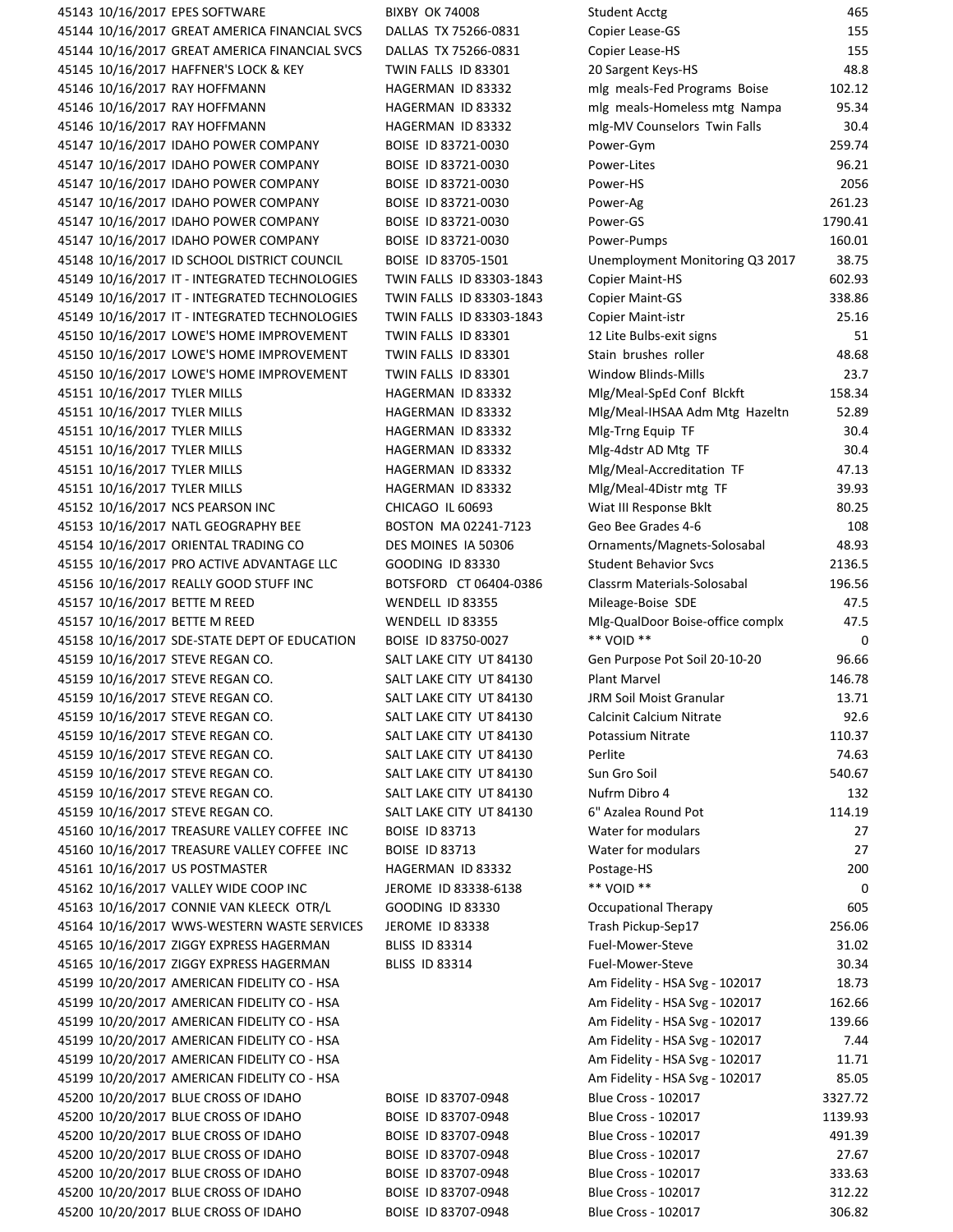45143 10/16/2017 EPES SOFTWARE BIXBY OK 74008 Student Acctual Acctual Acctual Acctual Acctual Acctual Acctual A 45144 10/16/2017 GREAT AMERICA FINANCIAL SVCS DALLAS TX 75266-0831 Co 45144 10/16/2017 GREAT AMERICA FINANCIAL SVCS DALLAS TX 75266-0831 C 45145 10/16/2017 HAFFNER'S LOCK & KEY TWIN FALLS ID 83301 20 45146 10/16/2017 RAY HOFFMANN HAGERMAN ID 83332 m 45146 10/16/2017 RAY HOFFMANN HAGERMAN ID 83332 m 45146 10/16/2017 RAY HOFFMANN **HAGERMAN ID 83332** 45147 10/16/2017 IDAHO POWER COMPANY BOISE ID 83721-0030 P 45147 10/16/2017 IDAHO POWER COMPANY BOISE ID 83721-0030 P 45147 10/16/2017 IDAHO POWER COMPANY BOISE ID 83721-0030 P 45147 10/16/2017 IDAHO POWER COMPANY BOISE ID 83721-0030 P 45147 10/16/2017 IDAHO POWER COMPANY BOISE ID 83721-0030 45147 10/16/2017 IDAHO POWER COMPANY BOISE ID 83721-0030 P 45148 10/16/2017 ID SCHOOL DISTRICT COUNCIL BOISE ID 83705-1501 U 45149 10/16/2017 IT - INTEGRATED TECHNOLOGIES TWIN FALLS ID 83303-1843 C 45149 10/16/2017 IT - INTEGRATED TECHNOLOGIES TWIN FALLS ID 83303-1843 C 45149 10/16/2017 IT - INTEGRATED TECHNOLOGIES TWIN FALLS ID 83303-1843 C 45150 10/16/2017 LOWE'S HOME IMPROVEMENT TWIN FALLS ID 83301 12 12 45150 10/16/2017 LOWE'S HOME IMPROVEMENT TWIN FALLS ID 83301 S 45150 10/16/2017 LOWE'S HOME IMPROVEMENT TWIN FALLS ID 83301 W 45151 10/16/2017 TYLER MILLS HAGERMAN ID 83332 M 45151 10/16/2017 TYLER MILLS HAGERMAN ID 83332 M 45151 10/16/2017 TYLER MILLS HAGERMAN ID 83332 M 45151 10/16/2017 TYLER MILLS HAGERMAN ID 83332 M 45151 10/16/2017 TYLER MILLS HAGERMAN ID 83332 M 45151 10/16/2017 TYLER MILLS HAGERMAN ID 83332 M 45152 10/16/2017 NCS PEARSON INC CHICAGO IL 60693 Wiat III Response Bklt 80.25 45153 10/16/2017 NATL GEOGRAPHY BEE BOSTON MA 02241-7123 G 45154 10/16/2017 ORIENTAL TRADING CO DES MOINES IA 50306 C 45155 10/16/2017 PRO ACTIVE ADVANTAGE LLC GOODING ID 83330 S 45156 10/16/2017 REALLY GOOD STUFF INC BOTSFORD CT 06404-0386 C 45157 10/16/2017 BETTE M REED WENDELL ID 83355 M 45157 10/16/2017 BETTE M REED WENDELL ID 83355 M 45158 10/16/2017 SDE-STATE DEPT OF EDUCATION BOISE ID 83750-0027 45159 10/16/2017 STEVE REGAN CO. SALT LAKE CITY UT 84130 G 45159 10/16/2017 STEVE REGAN CO. SALT LAKE CITY UT 84130 P 45159 10/16/2017 STEVE REGAN CO. SALT LAKE CITY UT 84130 JR 45159 10/16/2017 STEVE REGAN CO. SALT LAKE CITY UT 84130 C 45159 10/16/2017 STEVE REGAN CO. SALT LAKE CITY UT 84130 P 45159 10/16/2017 STEVE REGAN CO. SALT LAKE CITY UT 84130 P 45159 10/16/2017 STEVE REGAN CO. SALT LAKE CITY UT 84130 S 45159 10/16/2017 STEVE REGAN CO. SALT LAKE CITY UT 84130 NU 45159 10/16/2017 STEVE REGAN CO. SALT LAKE CITY UT 84130 6 45160 10/16/2017 TREASURE VALLEY COFFEE INC BOISE ID 83713 W 45160 10/16/2017 TREASURE VALLEY COFFEE INC BOISE ID 83713 W 45161 10/16/2017 US POSTMASTER 
HAGERMAN ID 83332 P 45162 10/16/2017 VALLEY WIDE COOP INC JEROME ID 83338-6138 45163 10/16/2017 CONNIE VAN KLEECK OTR/L GOODING ID 83330 C 45164 10/16/2017 WWS-WESTERN WASTE SERVICES JEROME ID 83338 T 45165 10/16/2017 ZIGGY EXPRESS HAGERMAN BLISS ID 83314 F 45165 10/16/2017 ZIGGY EXPRESS HAGERMAN BLISS ID 83314 F 45199 10/20/2017 AMERICAN FIDELITY CO ‐ HSA Am Fidelity ‐ HSA Svg ‐ 102017 18.73 45199 10/20/2017 AMERICAN FIDELITY CO ‐ HSA Am Fidelity ‐ HSA Svg ‐ 102017 162.66 45199 10/20/2017 AMERICAN FIDELITY CO ‐ HSA Am Fidelity ‐ HSA Svg ‐ 102017 139.66 45199 10/20/2017 AMERICAN FIDELITY CO ‐ HSA Am Fidelity ‐ HSA Svg ‐ 102017 7.44 45199 10/20/2017 AMERICAN FIDELITY CO - HSA 45199 10/20/2017 AMERICAN FIDELITY CO ‐ HSA Am Fidelity ‐ HSA Svg ‐ 102017 85.05 45200 10/20/2017 BLUE CROSS OF IDAHO BOISE ID 83707-0948 B 45200 10/20/2017 BLUE CROSS OF IDAHO BOISE ID 83707-0948 B 45200 10/20/2017 BLUE CROSS OF IDAHO BOISE ID 83707-0948 B 45200 10/20/2017 BLUE CROSS OF IDAHO BOISE ID 83707-0948 B 45200 10/20/2017 BLUE CROSS OF IDAHO BOISE ID 83707-0948 B 45200 10/20/2017 BLUE CROSS OF IDAHO BOISE ID 83707-0948 B 45200 10/20/2017 BLUE CROSS OF IDAHO BOISE ID 83707‐0948 Blue Cross ‐ 102017 306.82

| tudent Acctg                             | 465                     |
|------------------------------------------|-------------------------|
| opier Lease-GS                           | 155                     |
| opier Lease-HS                           | 155                     |
| 0 Sargent Keys-HS                        | 48.8                    |
| nlg meals-Fed Programs Boise             | 102.12                  |
| nlg meals-Homeless mtg Nampa             | 95.34                   |
| nlg-MV Counselors Twin Falls             | 30.4                    |
| 'ower-Gym                                | 259.74                  |
| 'ower-Lites                              | 96.21                   |
| 'ower-HS                                 | 2056                    |
| 'ower-Ag                                 | 261.23                  |
| 'ower-GS                                 | 1790.41                 |
| 'ower-Pumps                              | 160.01                  |
| Inemployment Monitoring Q3 2017          | 38.75                   |
| <b>Copier Maint-HS</b>                   | 602.93                  |
| opier Maint-GS                           | 338.86                  |
| opier Maint-istr                         | 25.16                   |
| 2 Lite Bulbs-exit signs                  | 51                      |
| tain brushes roller                      | 48.68                   |
| Vindow Blinds-Mills                      | 23.7                    |
| Alg/Meal-SpEd Conf Blckft                | 158.34                  |
| Alg/Meal-IHSAA Adm Mtg Hazeltn           | 52.89                   |
| Alg-Trng Equip TF                        | 30.4                    |
| Alg-4dstr AD Mtg TF                      | 30.4                    |
| Alg/Meal-Accreditation TF                | 47.13                   |
| Alg/Meal-4Distr mtg TF                   | 39.93                   |
| Viat III Response Bklt                   | 80.25                   |
| ieo Bee Grades 4-6                       | 108                     |
| )rnaments/Magnets-Solosabal              | 48.93                   |
| tudent Behavior Svcs                     | 2136.5                  |
| lassrm Materials-Solosabal               | 196.56                  |
| Aileage-Boise SDE                        | 47.5                    |
| Alg-QualDoor Boise-office complx         | 47.5                    |
| * VOID **                                | 0                       |
| ien Purpose Pot Soil 20-10-20            | 96.66                   |
| lant Marvel                              | 146.78                  |
| RM Soil Moist Granular                   | 13.71                   |
| alcinit Calcium Nitrate:                 | 92.6                    |
| otassium Nitrate                         | 110.37                  |
| erlite                                   | 74.63                   |
| un Gro Soil                              | 540.67                  |
| lufrm Dibro 4                            | 132                     |
| " Azalea Round Pot                       | 114.19                  |
| Vater for modulars                       | 27                      |
| Vater for modulars                       | 27                      |
| 'ostage-HS                               | 200                     |
| * VOID **                                | 0                       |
| Ccupational Therapy                      | 605                     |
| rash Pickup-Sep17                        | 256.06                  |
| uel-Mower-Steve                          | 31.02                   |
| uel-Mower-Steve                          | 30.34                   |
| m Fidelity - HSA Svg - 102017            | 18.73                   |
| m Fidelity - HSA Svg - 102017            | 162.66                  |
| m Fidelity - HSA Svg - 102017            | 139.66                  |
| m Fidelity - HSA Svg - 102017            | 7.44                    |
| m Fidelity - HSA Svg - 102017            | 11.71                   |
| m Fidelity - HSA Svg - 102017            |                         |
| lue Cross - 102017                       | 85.05                   |
| lue Cross - 102017                       | 3327.72<br>1139.93      |
|                                          |                         |
| lue Cross - 102017                       | 491.39                  |
| lue Cross - 102017<br>lue Cross - 102017 | 27.67                   |
| lue Cross - 102017                       | 333.63                  |
| $\ln 6$ Cross $102017$                   | 312.22<br><b>POC OP</b> |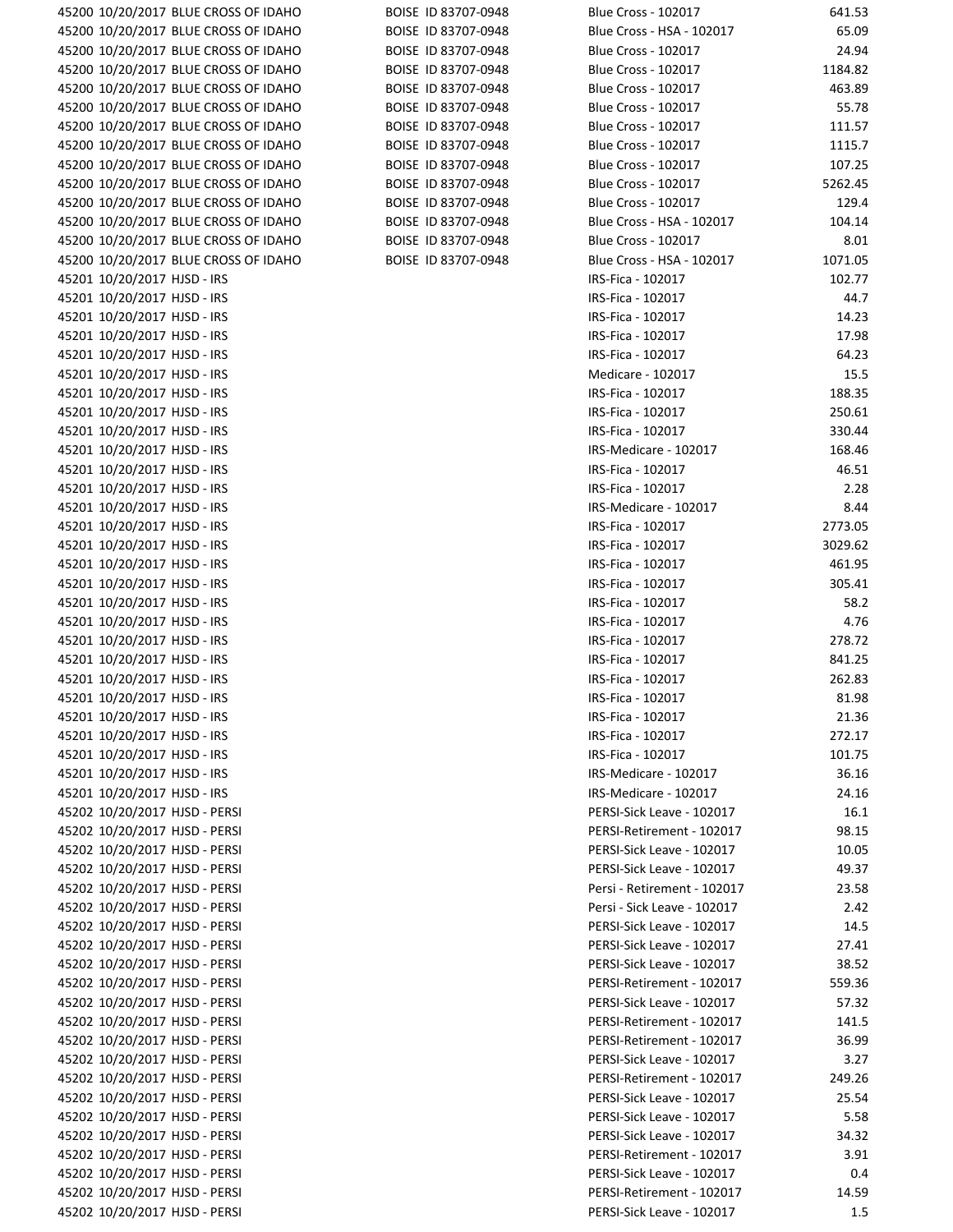| 45200 10/20/2017 BLUE CROSS OF IDAHO | BOISE ID 83707-0948 | <b>Blue Cross - 102017</b>  | 641.53  |
|--------------------------------------|---------------------|-----------------------------|---------|
| 45200 10/20/2017 BLUE CROSS OF IDAHO | BOISE ID 83707-0948 | Blue Cross - HSA - 102017   | 65.09   |
| 45200 10/20/2017 BLUE CROSS OF IDAHO | BOISE ID 83707-0948 | <b>Blue Cross - 102017</b>  | 24.94   |
| 45200 10/20/2017 BLUE CROSS OF IDAHO | BOISE ID 83707-0948 | <b>Blue Cross - 102017</b>  | 1184.82 |
| 45200 10/20/2017 BLUE CROSS OF IDAHO | BOISE ID 83707-0948 | <b>Blue Cross - 102017</b>  | 463.89  |
| 45200 10/20/2017 BLUE CROSS OF IDAHO | BOISE ID 83707-0948 | <b>Blue Cross - 102017</b>  | 55.78   |
| 45200 10/20/2017 BLUE CROSS OF IDAHO | BOISE ID 83707-0948 | <b>Blue Cross - 102017</b>  | 111.57  |
| 45200 10/20/2017 BLUE CROSS OF IDAHO | BOISE ID 83707-0948 | <b>Blue Cross - 102017</b>  | 1115.7  |
| 45200 10/20/2017 BLUE CROSS OF IDAHO | BOISE ID 83707-0948 | <b>Blue Cross - 102017</b>  | 107.25  |
| 45200 10/20/2017 BLUE CROSS OF IDAHO | BOISE ID 83707-0948 | <b>Blue Cross - 102017</b>  | 5262.45 |
| 45200 10/20/2017 BLUE CROSS OF IDAHO | BOISE ID 83707-0948 | <b>Blue Cross - 102017</b>  | 129.4   |
| 45200 10/20/2017 BLUE CROSS OF IDAHO | BOISE ID 83707-0948 | Blue Cross - HSA - 102017   | 104.14  |
| 45200 10/20/2017 BLUE CROSS OF IDAHO | BOISE ID 83707-0948 | <b>Blue Cross - 102017</b>  | 8.01    |
| 45200 10/20/2017 BLUE CROSS OF IDAHO | BOISE ID 83707-0948 | Blue Cross - HSA - 102017   | 1071.05 |
| 45201 10/20/2017 HJSD - IRS          |                     | IRS-Fica - 102017           | 102.77  |
| 45201 10/20/2017 HJSD - IRS          |                     | IRS-Fica - 102017           | 44.7    |
|                                      |                     | IRS-Fica - 102017           | 14.23   |
| 45201 10/20/2017 HJSD - IRS          |                     |                             |         |
| 45201 10/20/2017 HJSD - IRS          |                     | IRS-Fica - 102017           | 17.98   |
| 45201 10/20/2017 HJSD - IRS          |                     | IRS-Fica - 102017           | 64.23   |
| 45201 10/20/2017 HJSD - IRS          |                     | Medicare - 102017           | 15.5    |
| 45201 10/20/2017 HJSD - IRS          |                     | IRS-Fica - 102017           | 188.35  |
| 45201 10/20/2017 HJSD - IRS          |                     | IRS-Fica - 102017           | 250.61  |
| 45201 10/20/2017 HJSD - IRS          |                     | IRS-Fica - 102017           | 330.44  |
| 45201 10/20/2017 HJSD - IRS          |                     | IRS-Medicare - 102017       | 168.46  |
| 45201 10/20/2017 HJSD - IRS          |                     | IRS-Fica - 102017           | 46.51   |
| 45201 10/20/2017 HJSD - IRS          |                     | IRS-Fica - 102017           | 2.28    |
| 45201 10/20/2017 HJSD - IRS          |                     | IRS-Medicare - 102017       | 8.44    |
| 45201 10/20/2017 HJSD - IRS          |                     | IRS-Fica - 102017           | 2773.05 |
| 45201 10/20/2017 HJSD - IRS          |                     | IRS-Fica - 102017           | 3029.62 |
| 45201 10/20/2017 HJSD - IRS          |                     | IRS-Fica - 102017           | 461.95  |
| 45201 10/20/2017 HJSD - IRS          |                     | IRS-Fica - 102017           | 305.41  |
| 45201 10/20/2017 HJSD - IRS          |                     | IRS-Fica - 102017           | 58.2    |
| 45201 10/20/2017 HJSD - IRS          |                     | IRS-Fica - 102017           | 4.76    |
| 45201 10/20/2017 HJSD - IRS          |                     | IRS-Fica - 102017           | 278.72  |
| 45201 10/20/2017 HJSD - IRS          |                     | IRS-Fica - 102017           | 841.25  |
| 45201 10/20/2017 HJSD - IRS          |                     | IRS-Fica - 102017           | 262.83  |
| 45201 10/20/2017 HJSD - IRS          |                     | IRS-Fica - 102017           | 81.98   |
| 45201 10/20/2017 HJSD - IRS          |                     | IRS-Fica - 102017           | 21.36   |
| 45201 10/20/2017 HJSD - IRS          |                     | IRS-Fica - 102017           | 272.17  |
| 45201 10/20/2017 HJSD - IRS          |                     | IRS-Fica - 102017           | 101.75  |
| 45201 10/20/2017 HJSD - IRS          |                     | IRS-Medicare - 102017       | 36.16   |
| 45201 10/20/2017 HJSD - IRS          |                     | IRS-Medicare - 102017       | 24.16   |
| 45202 10/20/2017 HJSD - PERSI        |                     | PERSI-Sick Leave - 102017   | 16.1    |
| 45202 10/20/2017 HJSD - PERSI        |                     | PERSI-Retirement - 102017   | 98.15   |
| 45202 10/20/2017 HJSD - PERSI        |                     | PERSI-Sick Leave - 102017   | 10.05   |
| 45202 10/20/2017 HJSD - PERSI        |                     | PERSI-Sick Leave - 102017   | 49.37   |
| 45202 10/20/2017 HJSD - PERSI        |                     | Persi - Retirement - 102017 | 23.58   |
| 45202 10/20/2017 HJSD - PERSI        |                     | Persi - Sick Leave - 102017 | 2.42    |
| 45202 10/20/2017 HJSD - PERSI        |                     | PERSI-Sick Leave - 102017   | 14.5    |
| 45202 10/20/2017 HJSD - PERSI        |                     | PERSI-Sick Leave - 102017   | 27.41   |
| 45202 10/20/2017 HJSD - PERSI        |                     | PERSI-Sick Leave - 102017   | 38.52   |
|                                      |                     |                             |         |
| 45202 10/20/2017 HJSD - PERSI        |                     | PERSI-Retirement - 102017   | 559.36  |
| 45202 10/20/2017 HJSD - PERSI        |                     | PERSI-Sick Leave - 102017   | 57.32   |
| 45202 10/20/2017 HJSD - PERSI        |                     | PERSI-Retirement - 102017   | 141.5   |
| 45202 10/20/2017 HJSD - PERSI        |                     | PERSI-Retirement - 102017   | 36.99   |
| 45202 10/20/2017 HJSD - PERSI        |                     | PERSI-Sick Leave - 102017   | 3.27    |
| 45202 10/20/2017 HJSD - PERSI        |                     | PERSI-Retirement - 102017   | 249.26  |
| 45202 10/20/2017 HJSD - PERSI        |                     | PERSI-Sick Leave - 102017   | 25.54   |
| 45202 10/20/2017 HJSD - PERSI        |                     | PERSI-Sick Leave - 102017   | 5.58    |
| 45202 10/20/2017 HJSD - PERSI        |                     | PERSI-Sick Leave - 102017   | 34.32   |
| 45202 10/20/2017 HJSD - PERSI        |                     | PERSI-Retirement - 102017   | 3.91    |
| 45202 10/20/2017 HJSD - PERSI        |                     | PERSI-Sick Leave - 102017   | 0.4     |
| 45202 10/20/2017 HJSD - PERSI        |                     | PERSI-Retirement - 102017   | 14.59   |
| 45202 10/20/2017 HJSD - PERSI        |                     | PERSI-Sick Leave - 102017   | 1.5     |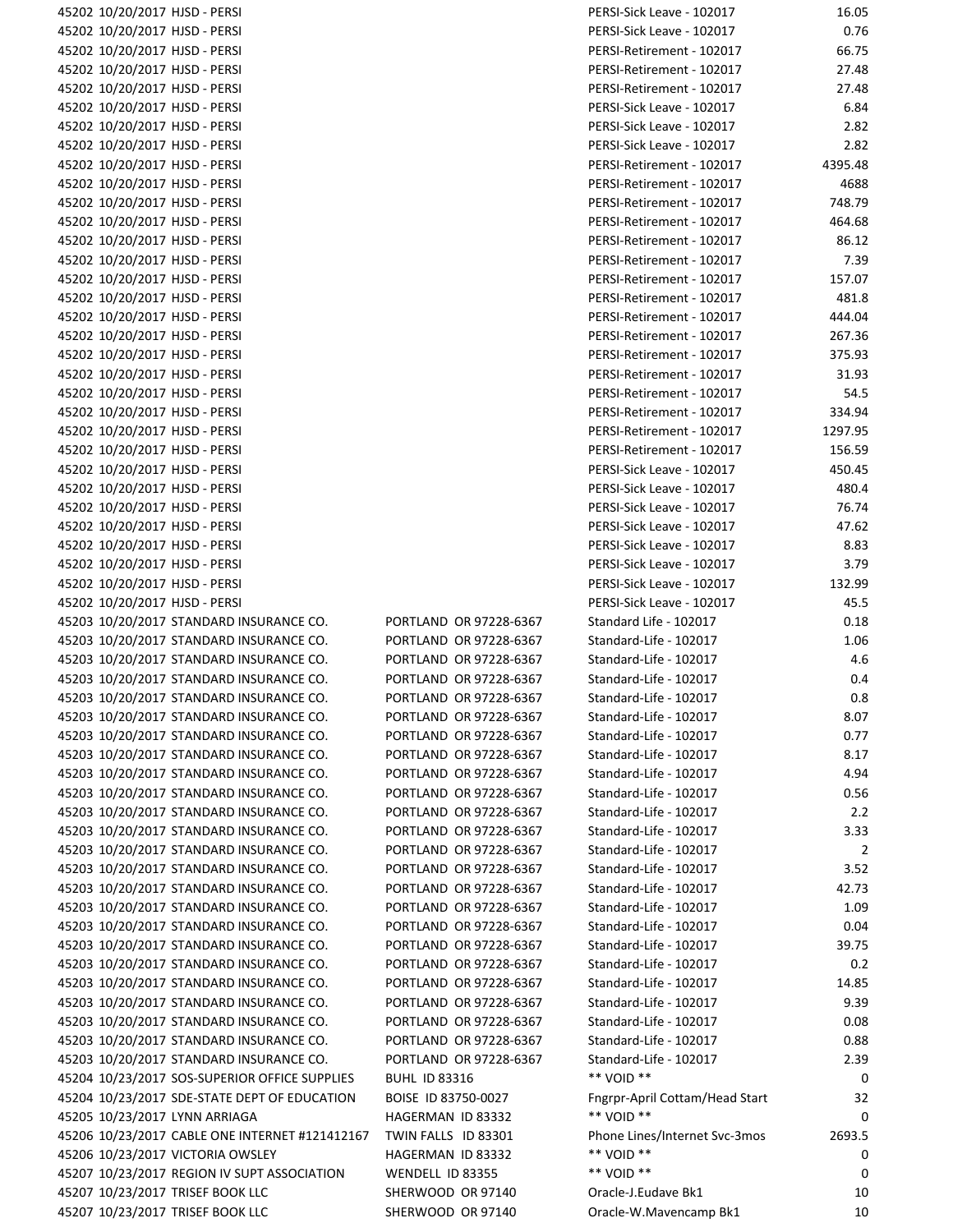45202 10/20/2017 HJSD ‐ PERSI PERSI‐Sick Leave ‐ 102017 16.05 45202 10/20/2017 HJSD - PERSI 45202 10/20/2017 HJSD - PERSI 45202 10/20/2017 HJSD - PERSI 45202 10/20/2017 HJSD - PERSI 45202 10/20/2017 HJSD - PERSI 45202 10/20/2017 HJSD - PERSI 45202 10/20/2017 HJSD - PERSI 45202 10/20/2017 HJSD - PERSI 45202 10/20/2017 HJSD - PERSI 45202 10/20/2017 HJSD - PERSI 45202 10/20/2017 HJSD - PERSI 45202 10/20/2017 HJSD - PERSI 45202 10/20/2017 HJSD - PERSI 45202 10/20/2017 HJSD - PERSI 45202 10/20/2017 HJSD - PERSI 45202 10/20/2017 HJSD - PERSI 45202 10/20/2017 HJSD - PERSI 45202 10/20/2017 HJSD - PERSI 45202 10/20/2017 HJSD - PERSI 45202 10/20/2017 HJSD - PERSI 45202 10/20/2017 HJSD - PERSI 45202 10/20/2017 HJSD - PERSI 45202 10/20/2017 HJSD - PERSI 45202 10/20/2017 HJSD - PERSI 45202 10/20/2017 HJSD - PERSI 45202 10/20/2017 HJSD - PERSI 45202 10/20/2017 HJSD - PERSI 45202 10/20/2017 HJSD - PERSI 45202 10/20/2017 HJSD - PERSI 45202 10/20/2017 HJSD - PERSI 45202 10/20/2017 HJSD - PERSI 45203 10/20/2017 STANDARD INSURANCE CO. PORTLAND OR 97228-6367 45203 10/20/2017 STANDARD INSURANCE CO. PORTLAND OR 97228-6367 45203 10/20/2017 STANDARD INSURANCE CO. PORTLAND OR 97228-6367 45203 10/20/2017 STANDARD INSURANCE CO. PORTLAND OR 97228-6367 45203 10/20/2017 STANDARD INSURANCE CO. PORTLAND OR 97228-6367 45203 10/20/2017 STANDARD INSURANCE CO. PORTLAND OR 97228-6367 45203 10/20/2017 STANDARD INSURANCE CO. PORTLAND OR 97228-6367 45203 10/20/2017 STANDARD INSURANCE CO. PORTLAND OR 97228-6367 45203 10/20/2017 STANDARD INSURANCE CO. PORTLAND OR 97228-6367 45203 10/20/2017 STANDARD INSURANCE CO. PORTLAND OR 97228-6367 45203 10/20/2017 STANDARD INSURANCE CO. PORTLAND OR 97228-6367 45203 10/20/2017 STANDARD INSURANCE CO. PORTLAND OR 97228-6367 45203 10/20/2017 STANDARD INSURANCE CO. PORTLAND OR 97228-6367 45203 10/20/2017 STANDARD INSURANCE CO. PORTLAND OR 97228-6367 45203 10/20/2017 STANDARD INSURANCE CO. PORTLAND OR 97228-6367 45203 10/20/2017 STANDARD INSURANCE CO. PORTLAND OR 97228-6367 45203 10/20/2017 STANDARD INSURANCE CO. PORTLAND OR 97228-6367 45203 10/20/2017 STANDARD INSURANCE CO. PORTLAND OR 97228-6367 45203 10/20/2017 STANDARD INSURANCE CO. PORTLAND OR 97228-6367 45203 10/20/2017 STANDARD INSURANCE CO. PORTLAND OR 97228-6367 45203 10/20/2017 STANDARD INSURANCE CO. PORTLAND OR 97228-6367 45203 10/20/2017 STANDARD INSURANCE CO. PORTLAND OR 97228-6367 45203 10/20/2017 STANDARD INSURANCE CO. PORTLAND OR 97228-6367 45203 10/20/2017 STANDARD INSURANCE CO. PORTLAND OR 97228-6367 45204 10/23/2017 SOS-SUPERIOR OFFICE SUPPLIES BUHL ID 83316 45204 10/23/2017 SDE-STATE DEPT OF EDUCATION BOISE ID 83750-0027 Family Bottam 45205 10/23/2017 LYNN ARRIAGA **HAGERMAN ID 83332** 45206 10/23/2017 CABLE ONE INTERNET #121412167 TWIN FALLS ID 83301 45206 10/23/2017 VICTORIA OWSLEY **HAGERMAN ID 83332** 45207 10/23/2017 REGION IV SUPT ASSOCIATION WENDELL ID 83355 45207 10/23/2017 TRISEF BOOK LLC SHERWOOD OR 97140 45207 10/23/2017 TRISEF BOOK LLC SHERWOOD OR 97140 C

| ERSI-SICK LEAVE - IUZUIT                   | 16.U5   |
|--------------------------------------------|---------|
| PERSI-Sick Leave - 102017                  | 0.76    |
| <b>PERSI-Retirement - 102017</b>           | 66.75   |
| <b>PERSI-Retirement - 102017</b>           | 27.48   |
| PERSI-Retirement - 102017                  | 27.48   |
| <b>PERSI-Sick Leave - 102017</b>           | 6.84    |
| <b>PERSI-Sick Leave - 102017</b>           | 2.82    |
| PERSI-Sick Leave - 102017                  | 2.82    |
| <b>PERSI-Retirement - 102017</b>           | 4395.48 |
| <b>PERSI-Retirement - 102017</b>           | 4688    |
| PERSI-Retirement - 102017                  | 748.79  |
| PERSI-Retirement - 102017                  | 464.68  |
| PERSI-Retirement - 102017                  | 86.12   |
| PERSI-Retirement - 102017                  | 7.39    |
| PERSI-Retirement - 102017                  | 157.07  |
|                                            | 481.8   |
| PERSI-Retirement - 102017                  |         |
| <b>PERSI-Retirement - 102017</b>           | 444.04  |
| <b>PERSI-Retirement - 102017</b>           | 267.36  |
| <b>PERSI-Retirement - 102017</b>           | 375.93  |
| <b>PERSI-Retirement - 102017</b>           | 31.93   |
| <b>PERSI-Retirement - 102017</b>           | 54.5    |
| PERSI-Retirement - 102017                  | 334.94  |
| <b>PERSI-Retirement - 102017</b>           | 1297.95 |
| PERSI-Retirement - 102017                  | 156.59  |
| <b>PERSI-Sick Leave - 102017</b>           | 450.45  |
| <b>PERSI-Sick Leave - 102017</b>           | 480.4   |
| PERSI-Sick Leave - 102017                  | 76.74   |
| <b>PERSI-Sick Leave - 102017</b>           | 47.62   |
| <b>PERSI-Sick Leave - 102017</b>           | 8.83    |
| PERSI-Sick Leave - 102017                  | 3.79    |
| PERSI-Sick Leave - 102017                  | 132.99  |
| PERSI-Sick Leave - 102017                  | 45.5    |
| Standard Life - 102017                     | 0.18    |
| Standard-Life - 102017                     | 1.06    |
| Standard-Life - 102017                     | 4.6     |
| Standard-Life - 102017                     | 0.4     |
| Standard-Life - 102017                     | 0.8     |
| Standard-Life - 102017                     | 8.07    |
| Standard-Life - 102017                     | 0.77    |
|                                            |         |
| Standard-Life - 102017                     | 8.17    |
| Standard-Life - 102017                     | 4.94    |
| Standard-Life - 102017                     | 0.56    |
| Standard-Life - 102017                     | 2.2     |
| Standard-Life - 102017                     | 3.33    |
| Standard-Life - 102017                     | 2       |
| Standard-Life - 102017                     | 3.52    |
| Standard-Life - 102017                     | 42.73   |
| Standard-Life - 102017                     | 1.09    |
| Standard-Life - 102017                     | 0.04    |
| Standard-Life - 102017                     | 39.75   |
| Standard-Life - 102017                     | 0.2     |
| Standard-Life - 102017                     | 14.85   |
| Standard-Life - 102017                     | 9.39    |
| Standard-Life - 102017                     | 0.08    |
| Standard-Life - 102017                     | 0.88    |
| Standard-Life - 102017                     | 2.39    |
| ** VOID **                                 | 0       |
| ngrpr-April Cottam/Head Start <sup>-</sup> | 32      |
| ** VOID **                                 | 0       |
| hone Lines/Internet Svc-3mos               | 2693.5  |
| ** VOID **                                 |         |
|                                            | 0       |
| ** VOID **                                 | 0       |
| Dracle-J.Eudave Bk1                        | 10      |
| Oracle-W.Mavencamp Bk1                     | 10      |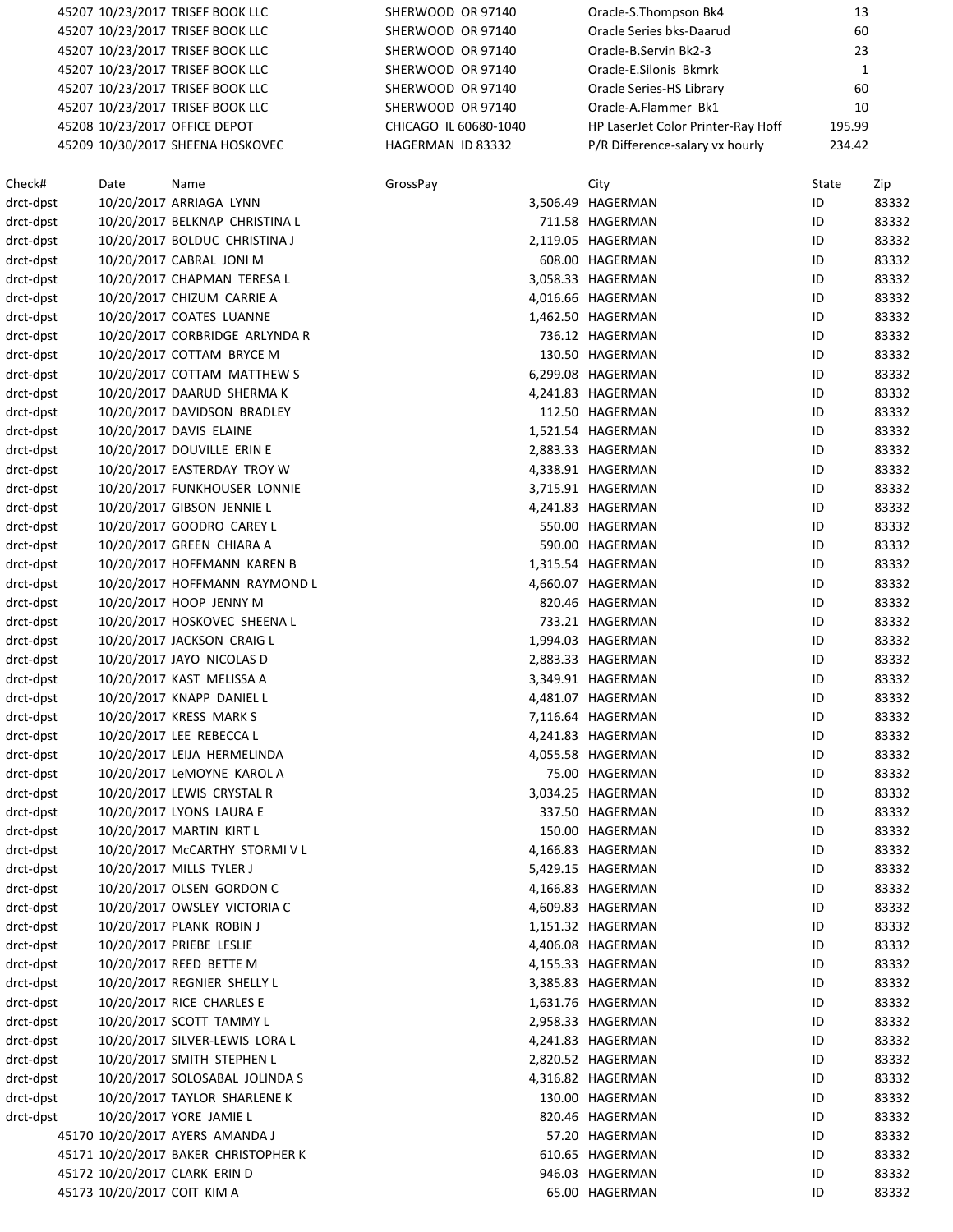|                        |      | 45207 10/23/2017 TRISEF BOOK LLC     | SHERWOOD OR 97140 |                       | Oracle-S.Thompson Bk4              | 13     |              |
|------------------------|------|--------------------------------------|-------------------|-----------------------|------------------------------------|--------|--------------|
|                        |      | 45207 10/23/2017 TRISEF BOOK LLC     | SHERWOOD OR 97140 |                       | Oracle Series bks-Daarud           | 60     |              |
|                        |      | 45207 10/23/2017 TRISEF BOOK LLC     | SHERWOOD OR 97140 |                       | Oracle-B.Servin Bk2-3              | 23     |              |
|                        |      | 45207 10/23/2017 TRISEF BOOK LLC     | SHERWOOD OR 97140 |                       | Oracle-E.Silonis Bkmrk             |        | $\mathbf{1}$ |
|                        |      | 45207 10/23/2017 TRISEF BOOK LLC     | SHERWOOD OR 97140 |                       | Oracle Series-HS Library           | 60     |              |
|                        |      | 45207 10/23/2017 TRISEF BOOK LLC     | SHERWOOD OR 97140 |                       | Oracle-A.Flammer Bk1               | 10     |              |
|                        |      | 45208 10/23/2017 OFFICE DEPOT        |                   | CHICAGO IL 60680-1040 | HP LaserJet Color Printer-Ray Hoff | 195.99 |              |
|                        |      | 45209 10/30/2017 SHEENA HOSKOVEC     | HAGERMAN ID 83332 |                       | P/R Difference-salary vx hourly    | 234.42 |              |
| Check#                 | Date | Name                                 | GrossPay          |                       | City                               | State  | Zip          |
| drct-dpst              |      | 10/20/2017 ARRIAGA LYNN              |                   |                       | 3,506.49 HAGERMAN                  | ID     | 83332        |
| drct-dpst              |      | 10/20/2017 BELKNAP CHRISTINA L       |                   |                       | 711.58 HAGERMAN                    | ID     | 83332        |
| drct-dpst              |      | 10/20/2017 BOLDUC CHRISTINA J        |                   |                       | 2,119.05 HAGERMAN                  | ID     | 83332        |
| drct-dpst              |      | 10/20/2017 CABRAL JONI M             |                   |                       | 608.00 HAGERMAN                    | ID     | 83332        |
| drct-dpst              |      | 10/20/2017 CHAPMAN TERESA L          |                   |                       | 3,058.33 HAGERMAN                  | ID     | 83332        |
| drct-dpst              |      | 10/20/2017 CHIZUM CARRIE A           |                   |                       | 4,016.66 HAGERMAN                  | ID     | 83332        |
| drct-dpst              |      | 10/20/2017 COATES LUANNE             |                   |                       | 1,462.50 HAGERMAN                  | ID     | 83332        |
| drct-dpst              |      | 10/20/2017 CORBRIDGE ARLYNDA R       |                   |                       | 736.12 HAGERMAN                    | ID     | 83332        |
| drct-dpst              |      | 10/20/2017 COTTAM BRYCE M            |                   |                       | 130.50 HAGERMAN                    | ID     | 83332        |
| drct-dpst              |      | 10/20/2017 COTTAM MATTHEW S          |                   |                       | 6,299.08 HAGERMAN                  | ID     | 83332        |
| drct-dpst              |      | 10/20/2017 DAARUD SHERMA K           |                   |                       | 4,241.83 HAGERMAN                  | ID     | 83332        |
| drct-dpst              |      | 10/20/2017 DAVIDSON BRADLEY          |                   |                       | 112.50 HAGERMAN                    | ID     | 83332        |
| drct-dpst              |      | 10/20/2017 DAVIS ELAINE              |                   |                       | 1,521.54 HAGERMAN                  | ID     | 83332        |
| drct-dpst              |      | 10/20/2017 DOUVILLE ERIN E           |                   |                       | 2,883.33 HAGERMAN                  | ID     | 83332        |
| drct-dpst              |      | 10/20/2017 EASTERDAY TROY W          |                   |                       | 4,338.91 HAGERMAN                  | ID     | 83332        |
| drct-dpst              |      | 10/20/2017 FUNKHOUSER LONNIE         |                   |                       | 3,715.91 HAGERMAN                  | ID     | 83332        |
| drct-dpst              |      | 10/20/2017 GIBSON JENNIE L           |                   |                       | 4,241.83 HAGERMAN                  | ID     | 83332        |
| drct-dpst              |      | 10/20/2017 GOODRO CAREY L            |                   |                       | 550.00 HAGERMAN                    | ID     | 83332        |
| drct-dpst              |      | 10/20/2017 GREEN CHIARA A            |                   |                       | 590.00 HAGERMAN                    | ID     | 83332        |
| drct-dpst              |      | 10/20/2017 HOFFMANN KAREN B          |                   |                       | 1,315.54 HAGERMAN                  | ID     | 83332        |
| drct-dpst              |      | 10/20/2017 HOFFMANN RAYMOND L        |                   |                       | 4,660.07 HAGERMAN                  | ID     | 83332        |
| drct-dpst              |      | 10/20/2017 HOOP JENNY M              |                   |                       | 820.46 HAGERMAN                    | ID     | 83332        |
| drct-dpst              |      | 10/20/2017 HOSKOVEC SHEENA L         |                   |                       | 733.21 HAGERMAN                    | ID     | 83332        |
| drct-dpst              |      | 10/20/2017 JACKSON CRAIG L           |                   |                       | 1,994.03 HAGERMAN                  | ID     | 83332        |
| drct-dpst              |      | 10/20/2017 JAYO NICOLAS D            |                   |                       | 2,883.33 HAGERMAN                  | ID     | 83332        |
| drct-dpst              |      | 10/20/2017 KAST MELISSA A            |                   |                       | 3,349.91 HAGERMAN                  | ID     | 83332        |
|                        |      | 10/20/2017 KNAPP DANIEL L            |                   |                       | 4,481.07 HAGERMAN                  | ID     | 83332        |
| drct-dpst<br>drct-dpst |      | 10/20/2017 KRESS MARK S              |                   |                       | 7,116.64 HAGERMAN                  | ID     | 83332        |
| drct-dpst              |      | 10/20/2017 LEE REBECCA L             |                   |                       | 4,241.83 HAGERMAN                  | ID     | 83332        |
| drct-dpst              |      | 10/20/2017 LEIJA HERMELINDA          |                   |                       | 4,055.58 HAGERMAN                  | ID     | 83332        |
|                        |      | 10/20/2017 LeMOYNE KAROL A           |                   |                       | 75.00 HAGERMAN                     |        |              |
| drct-dpst              |      |                                      |                   |                       |                                    | ID     | 83332        |
| drct-dpst              |      | 10/20/2017 LEWIS CRYSTAL R           |                   |                       | 3,034.25 HAGERMAN                  | ID     | 83332        |
| drct-dpst              |      | 10/20/2017 LYONS LAURA E             |                   |                       | 337.50 HAGERMAN                    | ID     | 83332        |
| drct-dpst              |      | 10/20/2017 MARTIN KIRT L             |                   |                       | 150.00 HAGERMAN                    | ID     | 83332        |
| drct-dpst              |      | 10/20/2017 McCARTHY STORMIVL         |                   |                       | 4,166.83 HAGERMAN                  | ID     | 83332        |
| drct-dpst              |      | 10/20/2017 MILLS TYLER J             |                   |                       | 5,429.15 HAGERMAN                  | ID     | 83332        |
| drct-dpst              |      | 10/20/2017 OLSEN GORDON C            |                   |                       | 4,166.83 HAGERMAN                  | ID     | 83332        |
| drct-dpst              |      | 10/20/2017 OWSLEY VICTORIA C         |                   |                       | 4,609.83 HAGERMAN                  | ID     | 83332        |
| drct-dpst              |      | 10/20/2017 PLANK ROBIN J             |                   |                       | 1,151.32 HAGERMAN                  | ID     | 83332        |
| drct-dpst              |      | 10/20/2017 PRIEBE LESLIE             |                   |                       | 4,406.08 HAGERMAN                  | ID     | 83332        |
| drct-dpst              |      | 10/20/2017 REED BETTE M              |                   |                       | 4,155.33 HAGERMAN                  | ID     | 83332        |
| drct-dpst              |      | 10/20/2017 REGNIER SHELLY L          |                   |                       | 3,385.83 HAGERMAN                  | ID     | 83332        |
| drct-dpst              |      | 10/20/2017 RICE CHARLES E            |                   |                       | 1,631.76 HAGERMAN                  | ID     | 83332        |
| drct-dpst              |      | 10/20/2017 SCOTT TAMMY L             |                   |                       | 2,958.33 HAGERMAN                  | ID     | 83332        |
| drct-dpst              |      | 10/20/2017 SILVER-LEWIS LORA L       |                   |                       | 4,241.83 HAGERMAN                  | ID     | 83332        |
| drct-dpst              |      | 10/20/2017 SMITH STEPHEN L           |                   |                       | 2,820.52 HAGERMAN                  | ID     | 83332        |
| drct-dpst              |      | 10/20/2017 SOLOSABAL JOLINDA S       |                   |                       | 4,316.82 HAGERMAN                  | ID     | 83332        |
| drct-dpst              |      | 10/20/2017 TAYLOR SHARLENE K         |                   |                       | 130.00 HAGERMAN                    | ID     | 83332        |
| drct-dpst              |      | 10/20/2017 YORE JAMIE L              |                   |                       | 820.46 HAGERMAN                    | ID     | 83332        |
|                        |      | 45170 10/20/2017 AYERS AMANDA J      |                   |                       | 57.20 HAGERMAN                     | ID     | 83332        |
|                        |      | 45171 10/20/2017 BAKER CHRISTOPHER K |                   |                       | 610.65 HAGERMAN                    | ID     | 83332        |
|                        |      | 45172 10/20/2017 CLARK ERIN D        |                   |                       | 946.03 HAGERMAN                    | ID     | 83332        |
|                        |      | 45173 10/20/2017 COIT KIM A          |                   |                       | 65.00 HAGERMAN                     | ID     | 83332        |